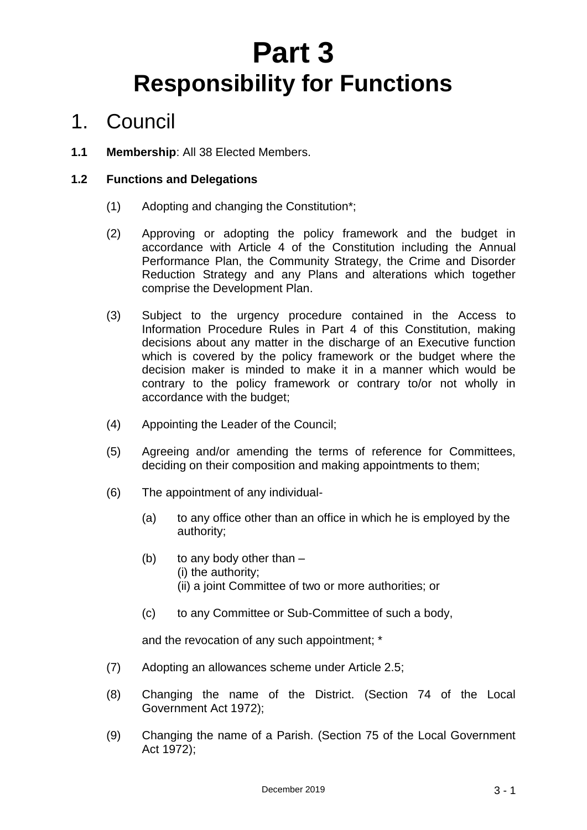# **Part 3 Responsibility for Functions**

# 1. Council

**1.1 Membership**: All 38 Elected Members.

#### **1.2 Functions and Delegations**

- (1) Adopting and changing the Constitution\*;
- (2) Approving or adopting the policy framework and the budget in accordance with Article 4 of the Constitution including the Annual Performance Plan, the Community Strategy, the Crime and Disorder Reduction Strategy and any Plans and alterations which together comprise the Development Plan.
- (3) Subject to the urgency procedure contained in the Access to Information Procedure Rules in Part 4 of this Constitution, making decisions about any matter in the discharge of an Executive function which is covered by the policy framework or the budget where the decision maker is minded to make it in a manner which would be contrary to the policy framework or contrary to/or not wholly in accordance with the budget;
- (4) Appointing the Leader of the Council;
- (5) Agreeing and/or amending the terms of reference for Committees, deciding on their composition and making appointments to them;
- (6) The appointment of any individual-
	- (a) to any office other than an office in which he is employed by the authority;
	- (b) to any body other than
		- (i) the authority;
		- (ii) a joint Committee of two or more authorities; or
	- (c) to any Committee or Sub-Committee of such a body,

and the revocation of any such appointment; \*

- (7) Adopting an allowances scheme under Article 2.5;
- (8) Changing the name of the District. (Section 74 of the Local Government Act 1972);
- (9) Changing the name of a Parish. (Section 75 of the Local Government Act 1972);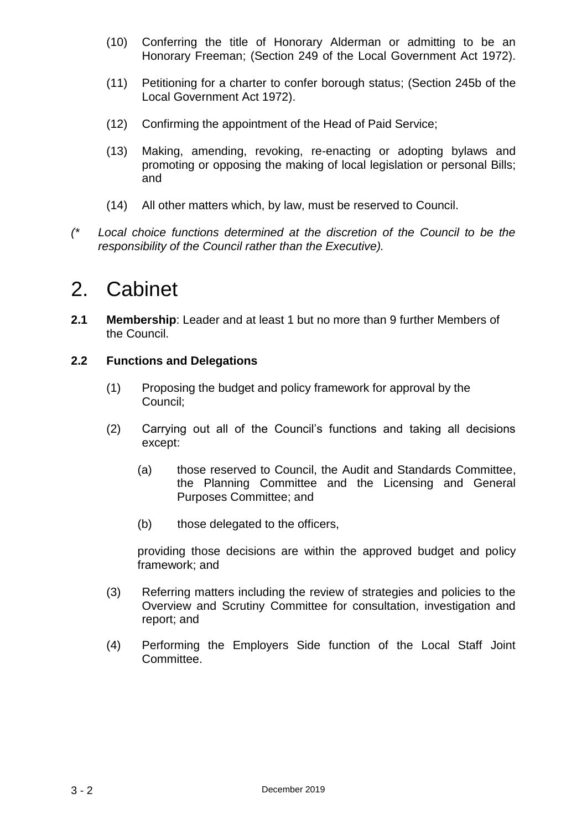- (10) Conferring the title of Honorary Alderman or admitting to be an Honorary Freeman; (Section 249 of the Local Government Act 1972).
- (11) Petitioning for a charter to confer borough status; (Section 245b of the Local Government Act 1972).
- (12) Confirming the appointment of the Head of Paid Service;
- (13) Making, amending, revoking, re-enacting or adopting bylaws and promoting or opposing the making of local legislation or personal Bills; and
- (14) All other matters which, by law, must be reserved to Council.
- *(\* Local choice functions determined at the discretion of the Council to be the responsibility of the Council rather than the Executive).*

### 2. Cabinet

**2.1 Membership**: Leader and at least 1 but no more than 9 further Members of the Council.

#### **2.2 Functions and Delegations**

- (1) Proposing the budget and policy framework for approval by the Council;
- (2) Carrying out all of the Council's functions and taking all decisions except:
	- (a) those reserved to Council, the Audit and Standards Committee, the Planning Committee and the Licensing and General Purposes Committee; and
	- (b) those delegated to the officers,

providing those decisions are within the approved budget and policy framework; and

- (3) Referring matters including the review of strategies and policies to the Overview and Scrutiny Committee for consultation, investigation and report; and
- (4) Performing the Employers Side function of the Local Staff Joint **Committee.**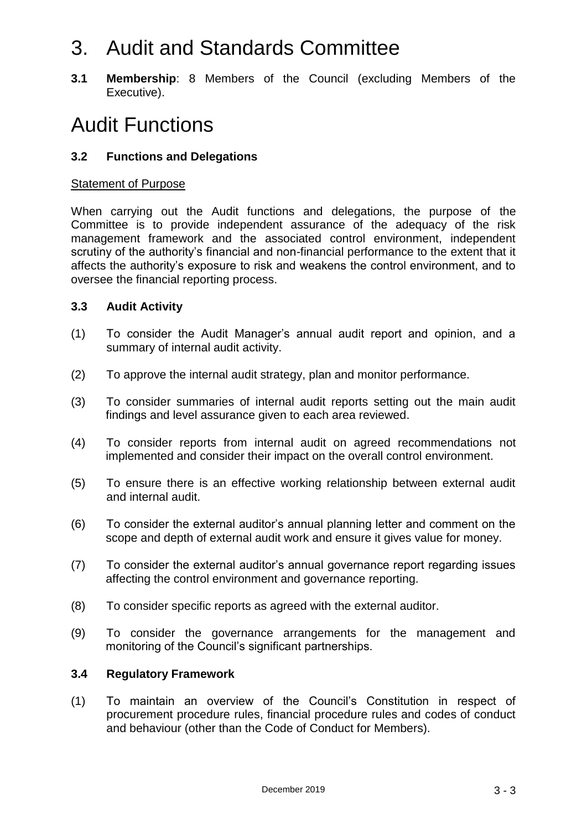# 3. Audit and Standards Committee

**3.1 Membership**: 8 Members of the Council (excluding Members of the Executive).

# Audit Functions

#### **3.2 Functions and Delegations**

#### Statement of Purpose

When carrying out the Audit functions and delegations, the purpose of the Committee is to provide independent assurance of the adequacy of the risk management framework and the associated control environment, independent scrutiny of the authority's financial and non-financial performance to the extent that it affects the authority's exposure to risk and weakens the control environment, and to oversee the financial reporting process.

#### **3.3 Audit Activity**

- (1) To consider the Audit Manager's annual audit report and opinion, and a summary of internal audit activity.
- (2) To approve the internal audit strategy, plan and monitor performance.
- (3) To consider summaries of internal audit reports setting out the main audit findings and level assurance given to each area reviewed.
- (4) To consider reports from internal audit on agreed recommendations not implemented and consider their impact on the overall control environment.
- (5) To ensure there is an effective working relationship between external audit and internal audit.
- (6) To consider the external auditor's annual planning letter and comment on the scope and depth of external audit work and ensure it gives value for money.
- (7) To consider the external auditor's annual governance report regarding issues affecting the control environment and governance reporting.
- (8) To consider specific reports as agreed with the external auditor.
- (9) To consider the governance arrangements for the management and monitoring of the Council's significant partnerships.

#### **3.4 Regulatory Framework**

(1) To maintain an overview of the Council's Constitution in respect of procurement procedure rules, financial procedure rules and codes of conduct and behaviour (other than the Code of Conduct for Members).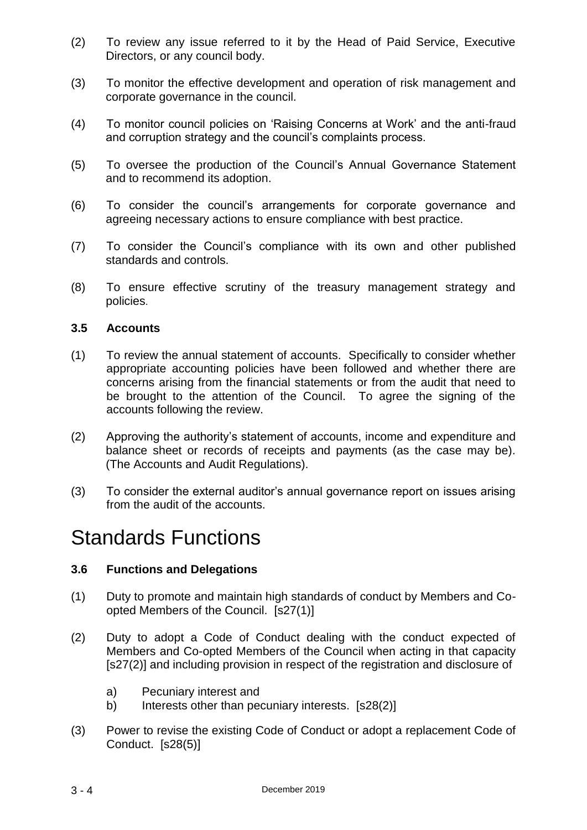- (2) To review any issue referred to it by the Head of Paid Service, Executive Directors, or any council body.
- (3) To monitor the effective development and operation of risk management and corporate governance in the council.
- (4) To monitor council policies on 'Raising Concerns at Work' and the anti-fraud and corruption strategy and the council's complaints process.
- (5) To oversee the production of the Council's Annual Governance Statement and to recommend its adoption.
- (6) To consider the council's arrangements for corporate governance and agreeing necessary actions to ensure compliance with best practice.
- (7) To consider the Council's compliance with its own and other published standards and controls.
- (8) To ensure effective scrutiny of the treasury management strategy and policies.

#### **3.5 Accounts**

- (1) To review the annual statement of accounts. Specifically to consider whether appropriate accounting policies have been followed and whether there are concerns arising from the financial statements or from the audit that need to be brought to the attention of the Council. To agree the signing of the accounts following the review.
- (2) Approving the authority's statement of accounts, income and expenditure and balance sheet or records of receipts and payments (as the case may be). (The Accounts and Audit Regulations).
- (3) To consider the external auditor's annual governance report on issues arising from the audit of the accounts.

### Standards Functions

#### **3.6 Functions and Delegations**

- (1) Duty to promote and maintain high standards of conduct by Members and Coopted Members of the Council. [s27(1)]
- (2) Duty to adopt a Code of Conduct dealing with the conduct expected of Members and Co-opted Members of the Council when acting in that capacity [s27(2)] and including provision in respect of the registration and disclosure of
	- a) Pecuniary interest and
	- b) Interests other than pecuniary interests. [s28(2)]
- (3) Power to revise the existing Code of Conduct or adopt a replacement Code of Conduct. [s28(5)]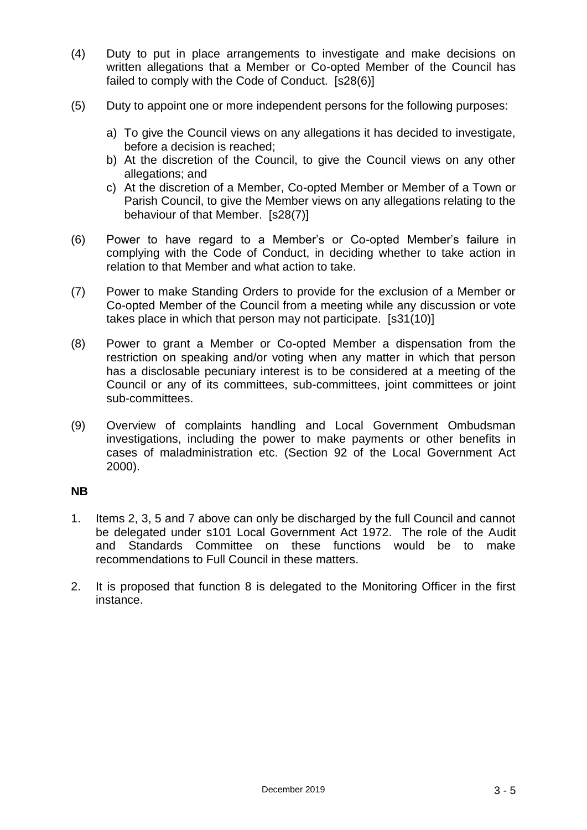- (4) Duty to put in place arrangements to investigate and make decisions on written allegations that a Member or Co-opted Member of the Council has failed to comply with the Code of Conduct. [s28(6)]
- (5) Duty to appoint one or more independent persons for the following purposes:
	- a) To give the Council views on any allegations it has decided to investigate, before a decision is reached;
	- b) At the discretion of the Council, to give the Council views on any other allegations; and
	- c) At the discretion of a Member, Co-opted Member or Member of a Town or Parish Council, to give the Member views on any allegations relating to the behaviour of that Member. [s28(7)]
- (6) Power to have regard to a Member's or Co-opted Member's failure in complying with the Code of Conduct, in deciding whether to take action in relation to that Member and what action to take.
- (7) Power to make Standing Orders to provide for the exclusion of a Member or Co-opted Member of the Council from a meeting while any discussion or vote takes place in which that person may not participate. [s31(10)]
- (8) Power to grant a Member or Co-opted Member a dispensation from the restriction on speaking and/or voting when any matter in which that person has a disclosable pecuniary interest is to be considered at a meeting of the Council or any of its committees, sub-committees, joint committees or joint sub-committees.
- (9) Overview of complaints handling and Local Government Ombudsman investigations, including the power to make payments or other benefits in cases of maladministration etc. (Section 92 of the Local Government Act 2000).

#### **NB**

- 1. Items 2, 3, 5 and 7 above can only be discharged by the full Council and cannot be delegated under s101 Local Government Act 1972. The role of the Audit and Standards Committee on these functions would be to make recommendations to Full Council in these matters.
- 2. It is proposed that function 8 is delegated to the Monitoring Officer in the first instance.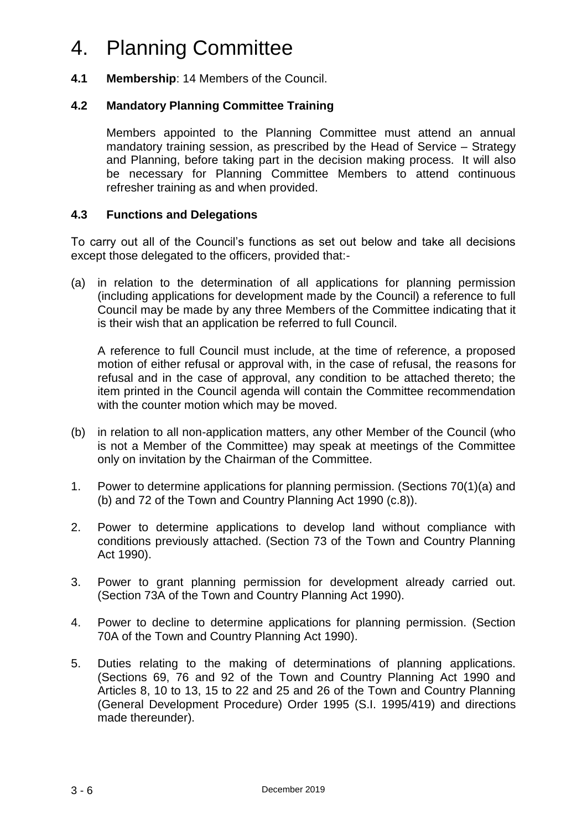### 4. Planning Committee

#### **4.1 Membership**: 14 Members of the Council.

#### **4.2 Mandatory Planning Committee Training**

Members appointed to the Planning Committee must attend an annual mandatory training session, as prescribed by the Head of Service – Strategy and Planning, before taking part in the decision making process. It will also be necessary for Planning Committee Members to attend continuous refresher training as and when provided.

#### **4.3 Functions and Delegations**

To carry out all of the Council's functions as set out below and take all decisions except those delegated to the officers, provided that:-

(a) in relation to the determination of all applications for planning permission (including applications for development made by the Council) a reference to full Council may be made by any three Members of the Committee indicating that it is their wish that an application be referred to full Council.

A reference to full Council must include, at the time of reference, a proposed motion of either refusal or approval with, in the case of refusal, the reasons for refusal and in the case of approval, any condition to be attached thereto; the item printed in the Council agenda will contain the Committee recommendation with the counter motion which may be moved.

- (b) in relation to all non-application matters, any other Member of the Council (who is not a Member of the Committee) may speak at meetings of the Committee only on invitation by the Chairman of the Committee.
- 1. Power to determine applications for planning permission. (Sections 70(1)(a) and (b) and 72 of the Town and Country Planning Act 1990 (c.8)).
- 2. Power to determine applications to develop land without compliance with conditions previously attached. (Section 73 of the Town and Country Planning Act 1990).
- 3. Power to grant planning permission for development already carried out. (Section 73A of the Town and Country Planning Act 1990).
- 4. Power to decline to determine applications for planning permission. (Section 70A of the Town and Country Planning Act 1990).
- 5. Duties relating to the making of determinations of planning applications. (Sections 69, 76 and 92 of the Town and Country Planning Act 1990 and Articles 8, 10 to 13, 15 to 22 and 25 and 26 of the Town and Country Planning (General Development Procedure) Order 1995 (S.I. 1995/419) and directions made thereunder).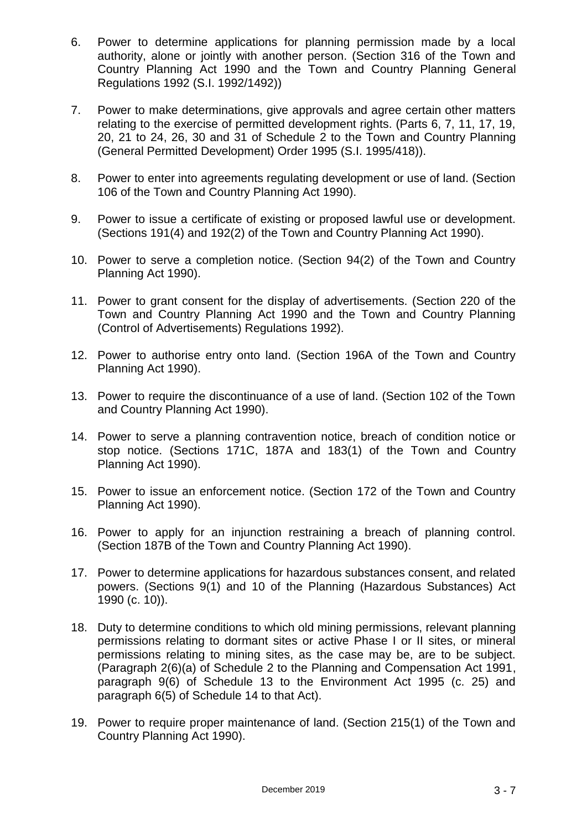- 6. Power to determine applications for planning permission made by a local authority, alone or jointly with another person. (Section 316 of the Town and Country Planning Act 1990 and the Town and Country Planning General Regulations 1992 (S.I. 1992/1492))
- 7. Power to make determinations, give approvals and agree certain other matters relating to the exercise of permitted development rights. (Parts 6, 7, 11, 17, 19, 20, 21 to 24, 26, 30 and 31 of Schedule 2 to the Town and Country Planning (General Permitted Development) Order 1995 (S.I. 1995/418)).
- 8. Power to enter into agreements regulating development or use of land. (Section 106 of the Town and Country Planning Act 1990).
- 9. Power to issue a certificate of existing or proposed lawful use or development. (Sections 191(4) and 192(2) of the Town and Country Planning Act 1990).
- 10. Power to serve a completion notice. (Section 94(2) of the Town and Country Planning Act 1990).
- 11. Power to grant consent for the display of advertisements. (Section 220 of the Town and Country Planning Act 1990 and the Town and Country Planning (Control of Advertisements) Regulations 1992).
- 12. Power to authorise entry onto land. (Section 196A of the Town and Country Planning Act 1990).
- 13. Power to require the discontinuance of a use of land. (Section 102 of the Town and Country Planning Act 1990).
- 14. Power to serve a planning contravention notice, breach of condition notice or stop notice. (Sections 171C, 187A and 183(1) of the Town and Country Planning Act 1990).
- 15. Power to issue an enforcement notice. (Section 172 of the Town and Country Planning Act 1990).
- 16. Power to apply for an injunction restraining a breach of planning control. (Section 187B of the Town and Country Planning Act 1990).
- 17. Power to determine applications for hazardous substances consent, and related powers. (Sections 9(1) and 10 of the Planning (Hazardous Substances) Act 1990 (c. 10)).
- 18. Duty to determine conditions to which old mining permissions, relevant planning permissions relating to dormant sites or active Phase I or II sites, or mineral permissions relating to mining sites, as the case may be, are to be subject. (Paragraph 2(6)(a) of Schedule 2 to the Planning and Compensation Act 1991, paragraph 9(6) of Schedule 13 to the Environment Act 1995 (c. 25) and paragraph 6(5) of Schedule 14 to that Act).
- 19. Power to require proper maintenance of land. (Section 215(1) of the Town and Country Planning Act 1990).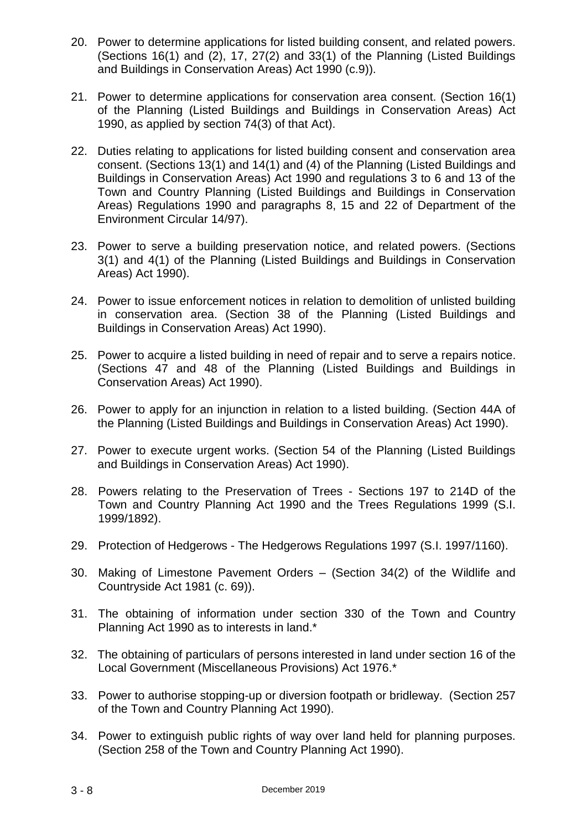- 20. Power to determine applications for listed building consent, and related powers. (Sections 16(1) and (2), 17, 27(2) and 33(1) of the Planning (Listed Buildings and Buildings in Conservation Areas) Act 1990 (c.9)).
- 21. Power to determine applications for conservation area consent. (Section 16(1) of the Planning (Listed Buildings and Buildings in Conservation Areas) Act 1990, as applied by section 74(3) of that Act).
- 22. Duties relating to applications for listed building consent and conservation area consent. (Sections 13(1) and 14(1) and (4) of the Planning (Listed Buildings and Buildings in Conservation Areas) Act 1990 and regulations 3 to 6 and 13 of the Town and Country Planning (Listed Buildings and Buildings in Conservation Areas) Regulations 1990 and paragraphs 8, 15 and 22 of Department of the Environment Circular 14/97).
- 23. Power to serve a building preservation notice, and related powers. (Sections 3(1) and 4(1) of the Planning (Listed Buildings and Buildings in Conservation Areas) Act 1990).
- 24. Power to issue enforcement notices in relation to demolition of unlisted building in conservation area. (Section 38 of the Planning (Listed Buildings and Buildings in Conservation Areas) Act 1990).
- 25. Power to acquire a listed building in need of repair and to serve a repairs notice. (Sections 47 and 48 of the Planning (Listed Buildings and Buildings in Conservation Areas) Act 1990).
- 26. Power to apply for an injunction in relation to a listed building. (Section 44A of the Planning (Listed Buildings and Buildings in Conservation Areas) Act 1990).
- 27. Power to execute urgent works. (Section 54 of the Planning (Listed Buildings and Buildings in Conservation Areas) Act 1990).
- 28. Powers relating to the Preservation of Trees Sections 197 to 214D of the Town and Country Planning Act 1990 and the Trees Regulations 1999 (S.I. 1999/1892).
- 29. Protection of Hedgerows The Hedgerows Regulations 1997 (S.I. 1997/1160).
- 30. Making of Limestone Pavement Orders (Section 34(2) of the Wildlife and Countryside Act 1981 (c. 69)).
- 31. The obtaining of information under section 330 of the Town and Country Planning Act 1990 as to interests in land.\*
- 32. The obtaining of particulars of persons interested in land under section 16 of the Local Government (Miscellaneous Provisions) Act 1976.\*
- 33. Power to authorise stopping-up or diversion footpath or bridleway. (Section 257 of the Town and Country Planning Act 1990).
- 34. Power to extinguish public rights of way over land held for planning purposes. (Section 258 of the Town and Country Planning Act 1990).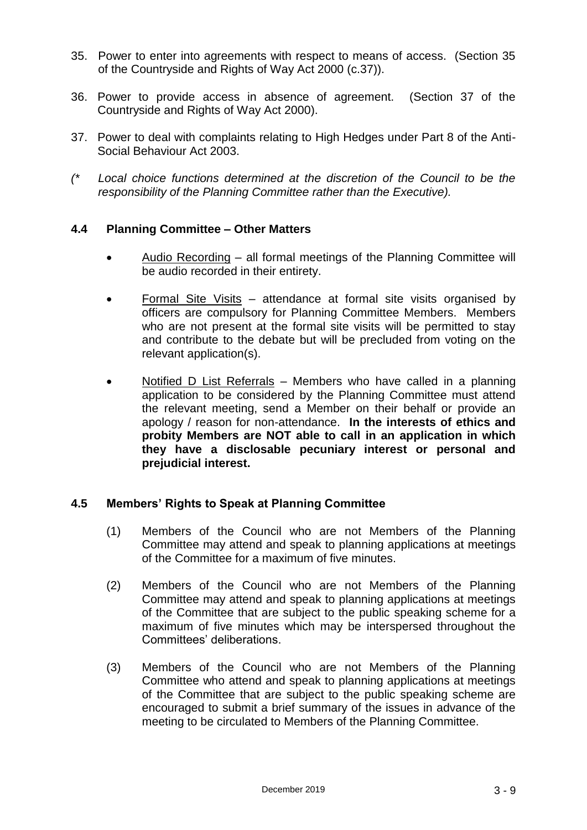- 35. Power to enter into agreements with respect to means of access. (Section 35 of the Countryside and Rights of Way Act 2000 (c.37)).
- 36. Power to provide access in absence of agreement. (Section 37 of the Countryside and Rights of Way Act 2000).
- 37. Power to deal with complaints relating to High Hedges under Part 8 of the Anti-Social Behaviour Act 2003.
- *(\* Local choice functions determined at the discretion of the Council to be the responsibility of the Planning Committee rather than the Executive).*

#### **4.4 Planning Committee – Other Matters**

- Audio Recording all formal meetings of the Planning Committee will be audio recorded in their entirety.
- Formal Site Visits attendance at formal site visits organised by officers are compulsory for Planning Committee Members. Members who are not present at the formal site visits will be permitted to stay and contribute to the debate but will be precluded from voting on the relevant application(s).
- Notified D List Referrals Members who have called in a planning application to be considered by the Planning Committee must attend the relevant meeting, send a Member on their behalf or provide an apology / reason for non-attendance. **In the interests of ethics and probity Members are NOT able to call in an application in which they have a disclosable pecuniary interest or personal and prejudicial interest.**

#### **4.5 Members' Rights to Speak at Planning Committee**

- (1) Members of the Council who are not Members of the Planning Committee may attend and speak to planning applications at meetings of the Committee for a maximum of five minutes.
- (2) Members of the Council who are not Members of the Planning Committee may attend and speak to planning applications at meetings of the Committee that are subject to the public speaking scheme for a maximum of five minutes which may be interspersed throughout the Committees' deliberations.
- (3) Members of the Council who are not Members of the Planning Committee who attend and speak to planning applications at meetings of the Committee that are subject to the public speaking scheme are encouraged to submit a brief summary of the issues in advance of the meeting to be circulated to Members of the Planning Committee.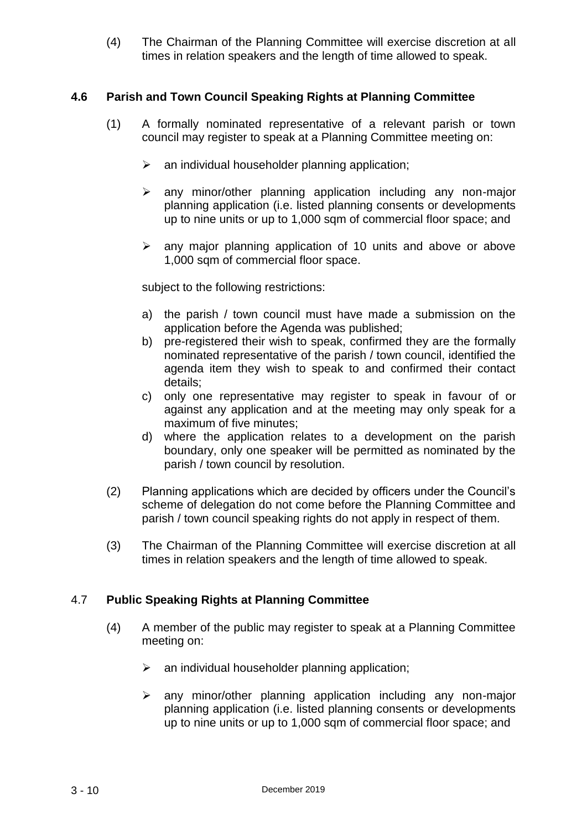(4) The Chairman of the Planning Committee will exercise discretion at all times in relation speakers and the length of time allowed to speak.

#### **4.6 Parish and Town Council Speaking Rights at Planning Committee**

- (1) A formally nominated representative of a relevant parish or town council may register to speak at a Planning Committee meeting on:
	- $\triangleright$  an individual householder planning application;
	- $\geq$  any minor/other planning application including any non-major planning application (i.e. listed planning consents or developments up to nine units or up to 1,000 sqm of commercial floor space; and
	- $\triangleright$  any major planning application of 10 units and above or above 1,000 sqm of commercial floor space.

subject to the following restrictions:

- a) the parish / town council must have made a submission on the application before the Agenda was published;
- b) pre-registered their wish to speak, confirmed they are the formally nominated representative of the parish / town council, identified the agenda item they wish to speak to and confirmed their contact details;
- c) only one representative may register to speak in favour of or against any application and at the meeting may only speak for a maximum of five minutes;
- d) where the application relates to a development on the parish boundary, only one speaker will be permitted as nominated by the parish / town council by resolution.
- (2) Planning applications which are decided by officers under the Council's scheme of delegation do not come before the Planning Committee and parish / town council speaking rights do not apply in respect of them.
- (3) The Chairman of the Planning Committee will exercise discretion at all times in relation speakers and the length of time allowed to speak.

#### 4.7 **Public Speaking Rights at Planning Committee**

- (4) A member of the public may register to speak at a Planning Committee meeting on:
	- $\triangleright$  an individual householder planning application;
	- $\geq$  any minor/other planning application including any non-major planning application (i.e. listed planning consents or developments up to nine units or up to 1,000 sqm of commercial floor space; and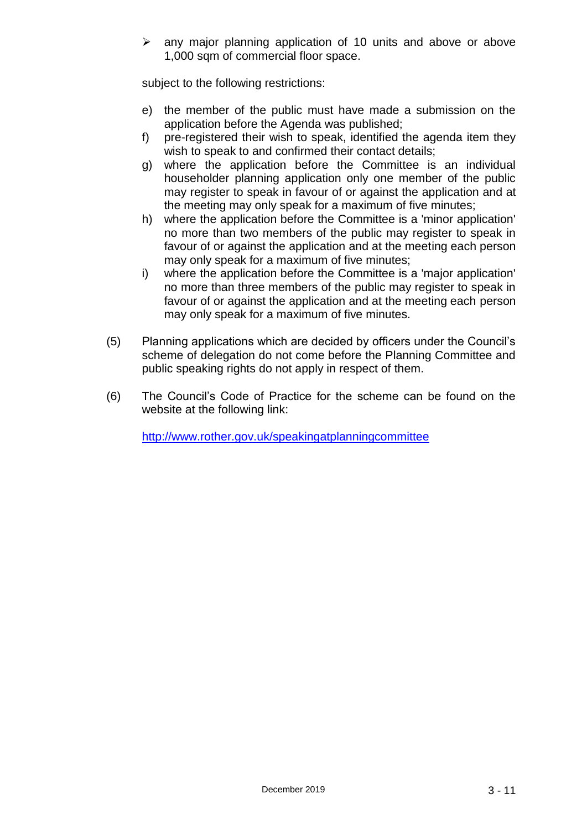$\triangleright$  any major planning application of 10 units and above or above 1,000 sqm of commercial floor space.

subject to the following restrictions:

- e) the member of the public must have made a submission on the application before the Agenda was published;
- f) pre-registered their wish to speak, identified the agenda item they wish to speak to and confirmed their contact details;
- g) where the application before the Committee is an individual householder planning application only one member of the public may register to speak in favour of or against the application and at the meeting may only speak for a maximum of five minutes;
- h) where the application before the Committee is a 'minor application' no more than two members of the public may register to speak in favour of or against the application and at the meeting each person may only speak for a maximum of five minutes;
- i) where the application before the Committee is a 'major application' no more than three members of the public may register to speak in favour of or against the application and at the meeting each person may only speak for a maximum of five minutes.
- (5) Planning applications which are decided by officers under the Council's scheme of delegation do not come before the Planning Committee and public speaking rights do not apply in respect of them.
- (6) The Council's Code of Practice for the scheme can be found on the website at the following link:

<http://www.rother.gov.uk/speakingatplanningcommittee>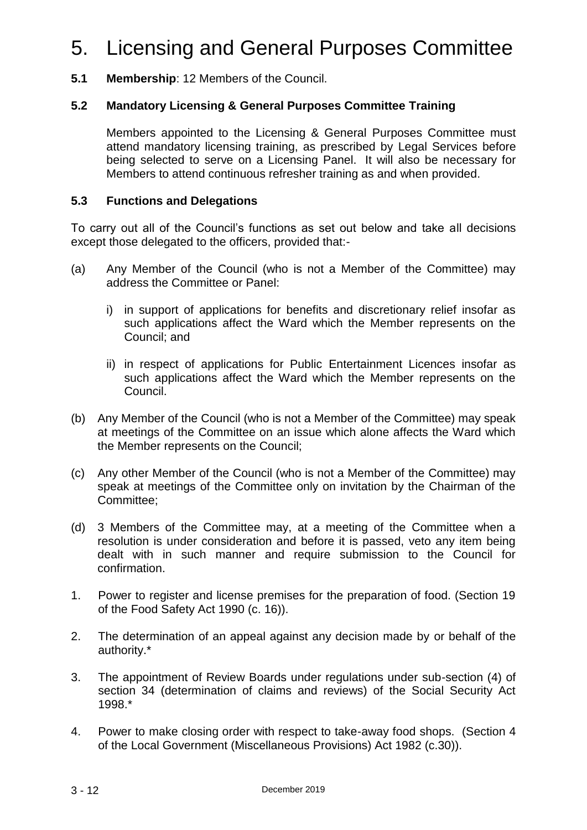# 5. Licensing and General Purposes Committee

**5.1 Membership**: 12 Members of the Council.

#### **5.2 Mandatory Licensing & General Purposes Committee Training**

Members appointed to the Licensing & General Purposes Committee must attend mandatory licensing training, as prescribed by Legal Services before being selected to serve on a Licensing Panel. It will also be necessary for Members to attend continuous refresher training as and when provided.

#### **5.3 Functions and Delegations**

To carry out all of the Council's functions as set out below and take all decisions except those delegated to the officers, provided that:-

- (a) Any Member of the Council (who is not a Member of the Committee) may address the Committee or Panel:
	- i) in support of applications for benefits and discretionary relief insofar as such applications affect the Ward which the Member represents on the Council; and
	- ii) in respect of applications for Public Entertainment Licences insofar as such applications affect the Ward which the Member represents on the Council.
- (b) Any Member of the Council (who is not a Member of the Committee) may speak at meetings of the Committee on an issue which alone affects the Ward which the Member represents on the Council;
- (c) Any other Member of the Council (who is not a Member of the Committee) may speak at meetings of the Committee only on invitation by the Chairman of the Committee;
- (d) 3 Members of the Committee may, at a meeting of the Committee when a resolution is under consideration and before it is passed, veto any item being dealt with in such manner and require submission to the Council for confirmation.
- 1. Power to register and license premises for the preparation of food. (Section 19 of the Food Safety Act 1990 (c. 16)).
- 2. The determination of an appeal against any decision made by or behalf of the authority.\*
- 3. The appointment of Review Boards under regulations under sub-section (4) of section 34 (determination of claims and reviews) of the Social Security Act 1998.\*
- 4. Power to make closing order with respect to take-away food shops. (Section 4 of the Local Government (Miscellaneous Provisions) Act 1982 (c.30)).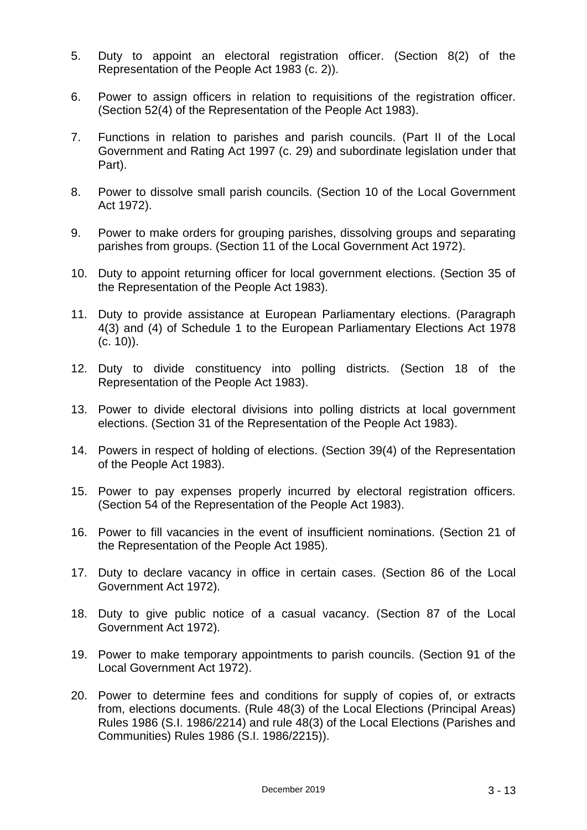- 5. Duty to appoint an electoral registration officer. (Section 8(2) of the Representation of the People Act 1983 (c. 2)).
- 6. Power to assign officers in relation to requisitions of the registration officer. (Section 52(4) of the Representation of the People Act 1983).
- 7. Functions in relation to parishes and parish councils. (Part II of the Local Government and Rating Act 1997 (c. 29) and subordinate legislation under that Part).
- 8. Power to dissolve small parish councils. (Section 10 of the Local Government Act 1972).
- 9. Power to make orders for grouping parishes, dissolving groups and separating parishes from groups. (Section 11 of the Local Government Act 1972).
- 10. Duty to appoint returning officer for local government elections. (Section 35 of the Representation of the People Act 1983).
- 11. Duty to provide assistance at European Parliamentary elections. (Paragraph 4(3) and (4) of Schedule 1 to the European Parliamentary Elections Act 1978 (c. 10)).
- 12. Duty to divide constituency into polling districts. (Section 18 of the Representation of the People Act 1983).
- 13. Power to divide electoral divisions into polling districts at local government elections. (Section 31 of the Representation of the People Act 1983).
- 14. Powers in respect of holding of elections. (Section 39(4) of the Representation of the People Act 1983).
- 15. Power to pay expenses properly incurred by electoral registration officers. (Section 54 of the Representation of the People Act 1983).
- 16. Power to fill vacancies in the event of insufficient nominations. (Section 21 of the Representation of the People Act 1985).
- 17. Duty to declare vacancy in office in certain cases. (Section 86 of the Local Government Act 1972).
- 18. Duty to give public notice of a casual vacancy. (Section 87 of the Local Government Act 1972).
- 19. Power to make temporary appointments to parish councils. (Section 91 of the Local Government Act 1972).
- 20. Power to determine fees and conditions for supply of copies of, or extracts from, elections documents. (Rule 48(3) of the Local Elections (Principal Areas) Rules 1986 (S.I. 1986/2214) and rule 48(3) of the Local Elections (Parishes and Communities) Rules 1986 (S.I. 1986/2215)).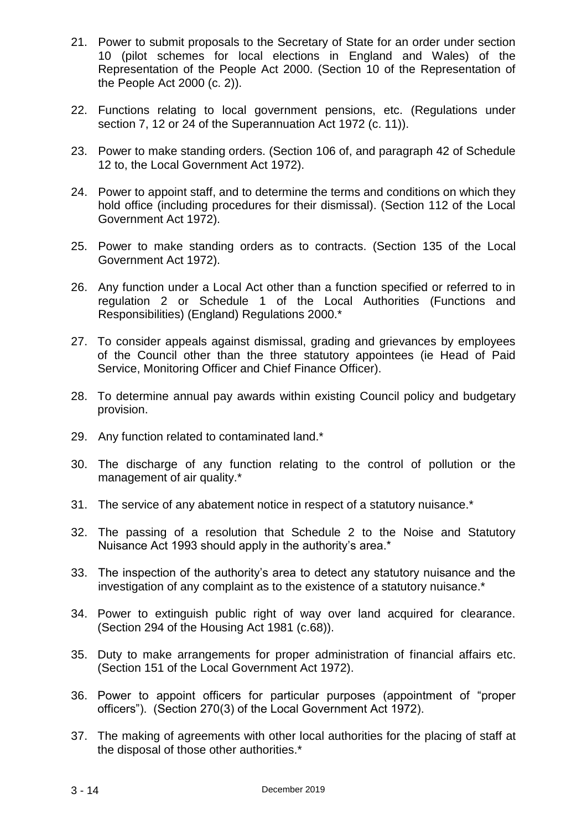- 21. Power to submit proposals to the Secretary of State for an order under section 10 (pilot schemes for local elections in England and Wales) of the Representation of the People Act 2000. (Section 10 of the Representation of the People Act 2000 (c. 2)).
- 22. Functions relating to local government pensions, etc. (Regulations under section 7, 12 or 24 of the Superannuation Act 1972 (c. 11)).
- 23. Power to make standing orders. (Section 106 of, and paragraph 42 of Schedule 12 to, the Local Government Act 1972).
- 24. Power to appoint staff, and to determine the terms and conditions on which they hold office (including procedures for their dismissal). (Section 112 of the Local Government Act 1972).
- 25. Power to make standing orders as to contracts. (Section 135 of the Local Government Act 1972).
- 26. Any function under a Local Act other than a function specified or referred to in regulation 2 or Schedule 1 of the Local Authorities (Functions and Responsibilities) (England) Regulations 2000.\*
- 27. To consider appeals against dismissal, grading and grievances by employees of the Council other than the three statutory appointees (ie Head of Paid Service, Monitoring Officer and Chief Finance Officer).
- 28. To determine annual pay awards within existing Council policy and budgetary provision.
- 29. Any function related to contaminated land.\*
- 30. The discharge of any function relating to the control of pollution or the management of air quality.\*
- 31. The service of any abatement notice in respect of a statutory nuisance.\*
- 32. The passing of a resolution that Schedule 2 to the Noise and Statutory Nuisance Act 1993 should apply in the authority's area.\*
- 33. The inspection of the authority's area to detect any statutory nuisance and the investigation of any complaint as to the existence of a statutory nuisance.\*
- 34. Power to extinguish public right of way over land acquired for clearance. (Section 294 of the Housing Act 1981 (c.68)).
- 35. Duty to make arrangements for proper administration of financial affairs etc. (Section 151 of the Local Government Act 1972).
- 36. Power to appoint officers for particular purposes (appointment of "proper officers"). (Section 270(3) of the Local Government Act 1972).
- 37. The making of agreements with other local authorities for the placing of staff at the disposal of those other authorities.\*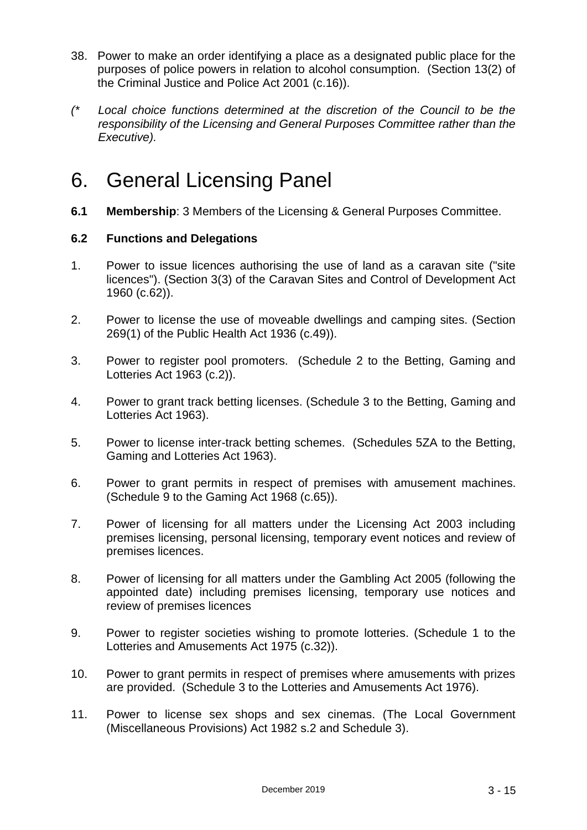- 38. Power to make an order identifying a place as a designated public place for the purposes of police powers in relation to alcohol consumption. (Section 13(2) of the Criminal Justice and Police Act 2001 (c.16)).
- *(\* Local choice functions determined at the discretion of the Council to be the responsibility of the Licensing and General Purposes Committee rather than the Executive).*

## 6. General Licensing Panel

**6.1 Membership**: 3 Members of the Licensing & General Purposes Committee.

#### **6.2 Functions and Delegations**

- 1. Power to issue licences authorising the use of land as a caravan site ("site licences"). (Section 3(3) of the Caravan Sites and Control of Development Act 1960 (c.62)).
- 2. Power to license the use of moveable dwellings and camping sites. (Section 269(1) of the Public Health Act 1936 (c.49)).
- 3. Power to register pool promoters. (Schedule 2 to the Betting, Gaming and Lotteries Act 1963 (c.2)).
- 4. Power to grant track betting licenses. (Schedule 3 to the Betting, Gaming and Lotteries Act 1963).
- 5. Power to license inter-track betting schemes. (Schedules 5ZA to the Betting, Gaming and Lotteries Act 1963).
- 6. Power to grant permits in respect of premises with amusement machines. (Schedule 9 to the Gaming Act 1968 (c.65)).
- 7. Power of licensing for all matters under the Licensing Act 2003 including premises licensing, personal licensing, temporary event notices and review of premises licences.
- 8. Power of licensing for all matters under the Gambling Act 2005 (following the appointed date) including premises licensing, temporary use notices and review of premises licences
- 9. Power to register societies wishing to promote lotteries. (Schedule 1 to the Lotteries and Amusements Act 1975 (c.32)).
- 10. Power to grant permits in respect of premises where amusements with prizes are provided. (Schedule 3 to the Lotteries and Amusements Act 1976).
- 11. Power to license sex shops and sex cinemas. (The Local Government (Miscellaneous Provisions) Act 1982 s.2 and Schedule 3).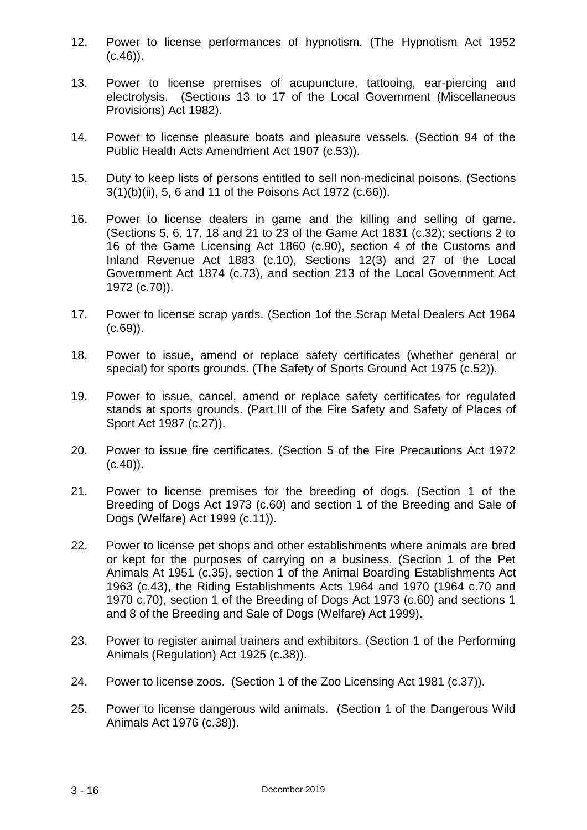- 12. Power to license performances of hypnotism. (The Hypnotism Act 1952  $(c.46)$ ).
- 13. Power to license premises of acupuncture, tattooing, ear-piercing and electrolysis. (Sections 13 to 17 of the Local Government (Miscellaneous Provisions) Act 1982).
- 14. Power to license pleasure boats and pleasure vessels. (Section 94 of the Public Health Acts Amendment Act 1907 (c.53)).
- 15. Duty to keep lists of persons entitled to sell non-medicinal poisons. (Sections 3(1)(b)(ii), 5, 6 and 11 of the Poisons Act 1972 (c.66)).
- 16. Power to license dealers in game and the killing and selling of game. (Sections 5, 6, 17, 18 and 21 to 23 of the Game Act 1831 (c.32); sections 2 to 16 of the Game Licensing Act 1860 (c.90), section 4 of the Customs and Inland Revenue Act 1883 (c.10), Sections 12(3) and 27 of the Local Government Act 1874 (c.73), and section 213 of the Local Government Act 1972 (c.70)).
- 17. Power to license scrap yards. (Section 1of the Scrap Metal Dealers Act 1964  $(C.69)$ ).
- 18. Power to issue, amend or replace safety certificates (whether general or special) for sports grounds. (The Safety of Sports Ground Act 1975 (c.52)).
- 19. Power to issue, cancel, amend or replace safety certificates for regulated stands at sports grounds. (Part III of the Fire Safety and Safety of Places of Sport Act 1987 (c.27)).
- 20. Power to issue fire certificates. (Section 5 of the Fire Precautions Act 1972  $(c.40)$ .
- 21. Power to license premises for the breeding of dogs. (Section 1 of the Breeding of Dogs Act 1973 (c.60) and section 1 of the Breeding and Sale of Dogs (Welfare) Act 1999 (c.11)).
- 22. Power to license pet shops and other establishments where animals are bred or kept for the purposes of carrying on a business. (Section 1 of the Pet Animals At 1951 (c.35), section 1 of the Animal Boarding Establishments Act 1963 (c.43), the Riding Establishments Acts 1964 and 1970 (1964 c.70 and 1970 c.70), section 1 of the Breeding of Dogs Act 1973 (c.60) and sections 1 and 8 of the Breeding and Sale of Dogs (Welfare) Act 1999).
- 23. Power to register animal trainers and exhibitors. (Section 1 of the Performing Animals (Regulation) Act 1925 (c.38)).
- 24. Power to license zoos. (Section 1 of the Zoo Licensing Act 1981 (c.37)).
- 25. Power to license dangerous wild animals. (Section 1 of the Dangerous Wild Animals Act 1976 (c.38)).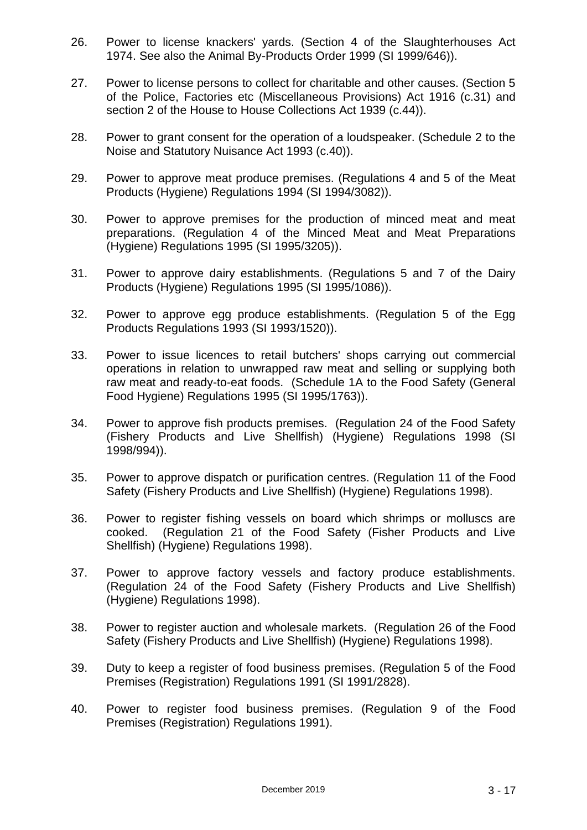- 26. Power to license knackers' yards. (Section 4 of the Slaughterhouses Act 1974. See also the Animal By-Products Order 1999 (SI 1999/646)).
- 27. Power to license persons to collect for charitable and other causes. (Section 5 of the Police, Factories etc (Miscellaneous Provisions) Act 1916 (c.31) and section 2 of the House to House Collections Act 1939 (c.44)).
- 28. Power to grant consent for the operation of a loudspeaker. (Schedule 2 to the Noise and Statutory Nuisance Act 1993 (c.40)).
- 29. Power to approve meat produce premises. (Regulations 4 and 5 of the Meat Products (Hygiene) Regulations 1994 (SI 1994/3082)).
- 30. Power to approve premises for the production of minced meat and meat preparations. (Regulation 4 of the Minced Meat and Meat Preparations (Hygiene) Regulations 1995 (SI 1995/3205)).
- 31. Power to approve dairy establishments. (Regulations 5 and 7 of the Dairy Products (Hygiene) Regulations 1995 (SI 1995/1086)).
- 32. Power to approve egg produce establishments. (Regulation 5 of the Egg Products Regulations 1993 (SI 1993/1520)).
- 33. Power to issue licences to retail butchers' shops carrying out commercial operations in relation to unwrapped raw meat and selling or supplying both raw meat and ready-to-eat foods. (Schedule 1A to the Food Safety (General Food Hygiene) Regulations 1995 (SI 1995/1763)).
- 34. Power to approve fish products premises. (Regulation 24 of the Food Safety (Fishery Products and Live Shellfish) (Hygiene) Regulations 1998 (SI 1998/994)).
- 35. Power to approve dispatch or purification centres. (Regulation 11 of the Food Safety (Fishery Products and Live Shellfish) (Hygiene) Regulations 1998).
- 36. Power to register fishing vessels on board which shrimps or molluscs are cooked. (Regulation 21 of the Food Safety (Fisher Products and Live Shellfish) (Hygiene) Regulations 1998).
- 37. Power to approve factory vessels and factory produce establishments. (Regulation 24 of the Food Safety (Fishery Products and Live Shellfish) (Hygiene) Regulations 1998).
- 38. Power to register auction and wholesale markets. (Regulation 26 of the Food Safety (Fishery Products and Live Shellfish) (Hygiene) Regulations 1998).
- 39. Duty to keep a register of food business premises. (Regulation 5 of the Food Premises (Registration) Regulations 1991 (SI 1991/2828).
- 40. Power to register food business premises. (Regulation 9 of the Food Premises (Registration) Regulations 1991).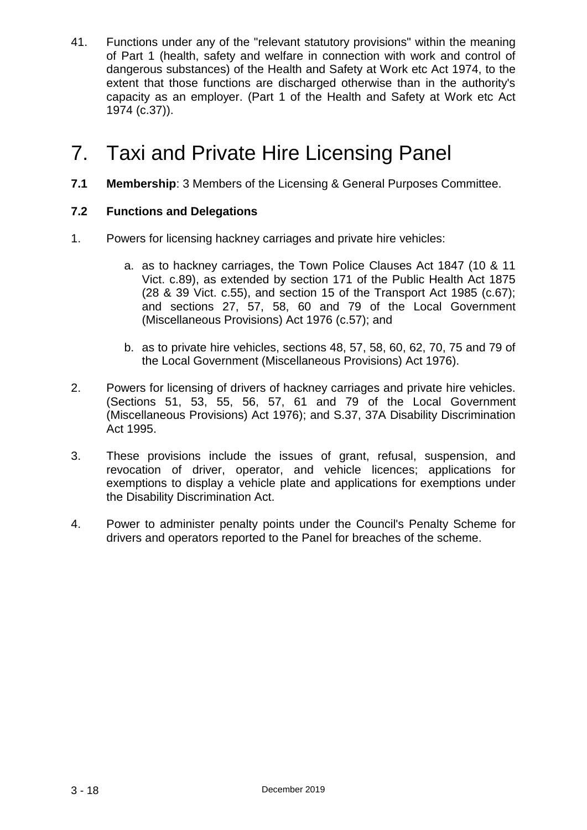41. Functions under any of the "relevant statutory provisions" within the meaning of Part 1 (health, safety and welfare in connection with work and control of dangerous substances) of the Health and Safety at Work etc Act 1974, to the extent that those functions are discharged otherwise than in the authority's capacity as an employer. (Part 1 of the Health and Safety at Work etc Act 1974 (c.37)).

# 7. Taxi and Private Hire Licensing Panel

**7.1 Membership**: 3 Members of the Licensing & General Purposes Committee.

#### **7.2 Functions and Delegations**

- 1. Powers for licensing hackney carriages and private hire vehicles:
	- a. as to hackney carriages, the Town Police Clauses Act 1847 (10 & 11 Vict. c.89), as extended by section 171 of the Public Health Act 1875 (28 & 39 Vict. c.55), and section 15 of the Transport Act 1985 (c.67); and sections 27, 57, 58, 60 and 79 of the Local Government (Miscellaneous Provisions) Act 1976 (c.57); and
	- b. as to private hire vehicles, sections 48, 57, 58, 60, 62, 70, 75 and 79 of the Local Government (Miscellaneous Provisions) Act 1976).
- 2. Powers for licensing of drivers of hackney carriages and private hire vehicles. (Sections 51, 53, 55, 56, 57, 61 and 79 of the Local Government (Miscellaneous Provisions) Act 1976); and S.37, 37A Disability Discrimination Act 1995.
- 3. These provisions include the issues of grant, refusal, suspension, and revocation of driver, operator, and vehicle licences; applications for exemptions to display a vehicle plate and applications for exemptions under the Disability Discrimination Act.
- 4. Power to administer penalty points under the Council's Penalty Scheme for drivers and operators reported to the Panel for breaches of the scheme.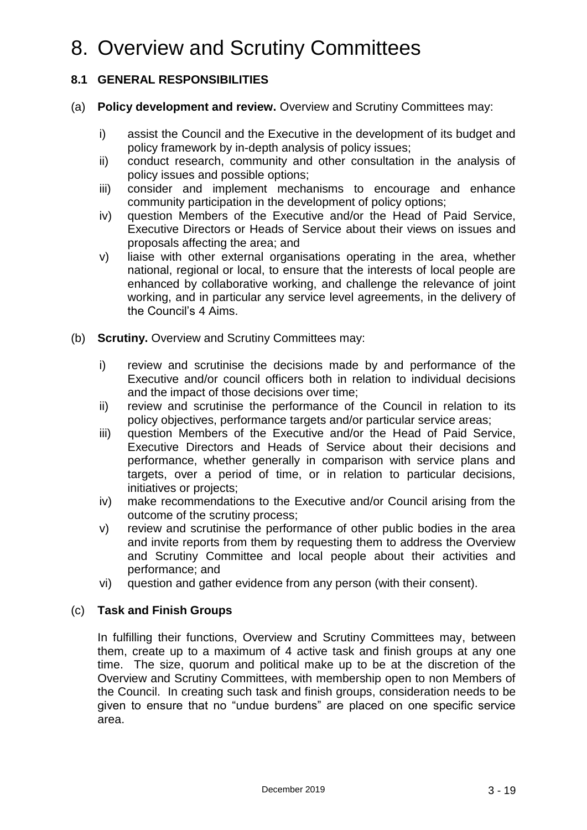# 8. Overview and Scrutiny Committees

#### **8.1 GENERAL RESPONSIBILITIES**

- (a) **Policy development and review.** Overview and Scrutiny Committees may:
	- i) assist the Council and the Executive in the development of its budget and policy framework by in-depth analysis of policy issues;
	- ii) conduct research, community and other consultation in the analysis of policy issues and possible options;
	- iii) consider and implement mechanisms to encourage and enhance community participation in the development of policy options;
	- iv) question Members of the Executive and/or the Head of Paid Service, Executive Directors or Heads of Service about their views on issues and proposals affecting the area; and
	- v) liaise with other external organisations operating in the area, whether national, regional or local, to ensure that the interests of local people are enhanced by collaborative working, and challenge the relevance of joint working, and in particular any service level agreements, in the delivery of the Council's 4 Aims.
- (b) **Scrutiny.** Overview and Scrutiny Committees may:
	- i) review and scrutinise the decisions made by and performance of the Executive and/or council officers both in relation to individual decisions and the impact of those decisions over time;
	- ii) review and scrutinise the performance of the Council in relation to its policy objectives, performance targets and/or particular service areas;
	- iii) question Members of the Executive and/or the Head of Paid Service, Executive Directors and Heads of Service about their decisions and performance, whether generally in comparison with service plans and targets, over a period of time, or in relation to particular decisions, initiatives or projects;
	- iv) make recommendations to the Executive and/or Council arising from the outcome of the scrutiny process;
	- v) review and scrutinise the performance of other public bodies in the area and invite reports from them by requesting them to address the Overview and Scrutiny Committee and local people about their activities and performance; and
	- vi) question and gather evidence from any person (with their consent).

#### (c) **Task and Finish Groups**

In fulfilling their functions, Overview and Scrutiny Committees may, between them, create up to a maximum of 4 active task and finish groups at any one time. The size, quorum and political make up to be at the discretion of the Overview and Scrutiny Committees, with membership open to non Members of the Council. In creating such task and finish groups, consideration needs to be given to ensure that no "undue burdens" are placed on one specific service area.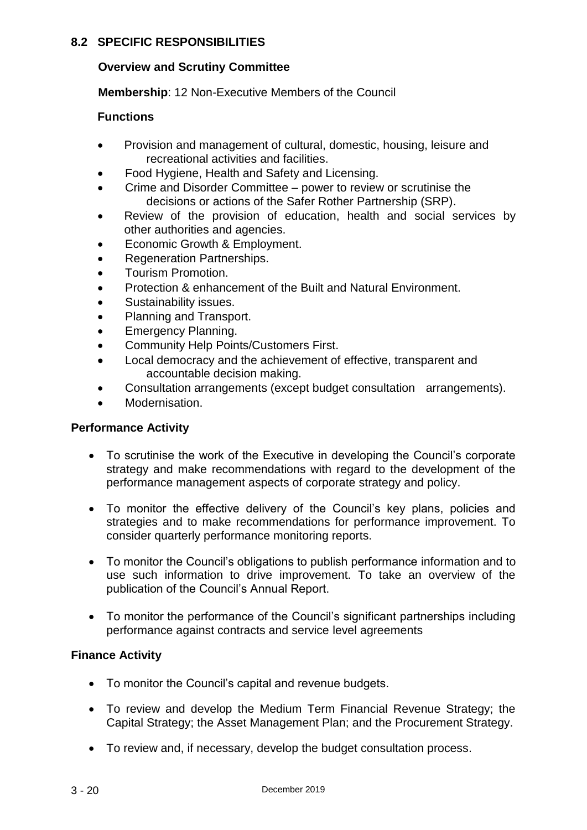#### **8.2 SPECIFIC RESPONSIBILITIES**

#### **Overview and Scrutiny Committee**

**Membership**: 12 Non-Executive Members of the Council

#### **Functions**

- Provision and management of cultural, domestic, housing, leisure and recreational activities and facilities.
- Food Hygiene, Health and Safety and Licensing.
- Crime and Disorder Committee power to review or scrutinise the decisions or actions of the Safer Rother Partnership (SRP).
- Review of the provision of education, health and social services by other authorities and agencies.
- Economic Growth & Employment.
- Regeneration Partnerships.
- Tourism Promotion.
- Protection & enhancement of the Built and Natural Environment.
- Sustainability issues.
- Planning and Transport.
- Emergency Planning.
- Community Help Points/Customers First.
- Local democracy and the achievement of effective, transparent and accountable decision making.
- Consultation arrangements (except budget consultation arrangements).
- Modernisation.

#### **Performance Activity**

- To scrutinise the work of the Executive in developing the Council's corporate strategy and make recommendations with regard to the development of the performance management aspects of corporate strategy and policy.
- To monitor the effective delivery of the Council's key plans, policies and strategies and to make recommendations for performance improvement. To consider quarterly performance monitoring reports.
- To monitor the Council's obligations to publish performance information and to use such information to drive improvement. To take an overview of the publication of the Council's Annual Report.
- To monitor the performance of the Council's significant partnerships including performance against contracts and service level agreements

#### **Finance Activity**

- To monitor the Council's capital and revenue budgets.
- To review and develop the Medium Term Financial Revenue Strategy; the Capital Strategy; the Asset Management Plan; and the Procurement Strategy.
- To review and, if necessary, develop the budget consultation process.